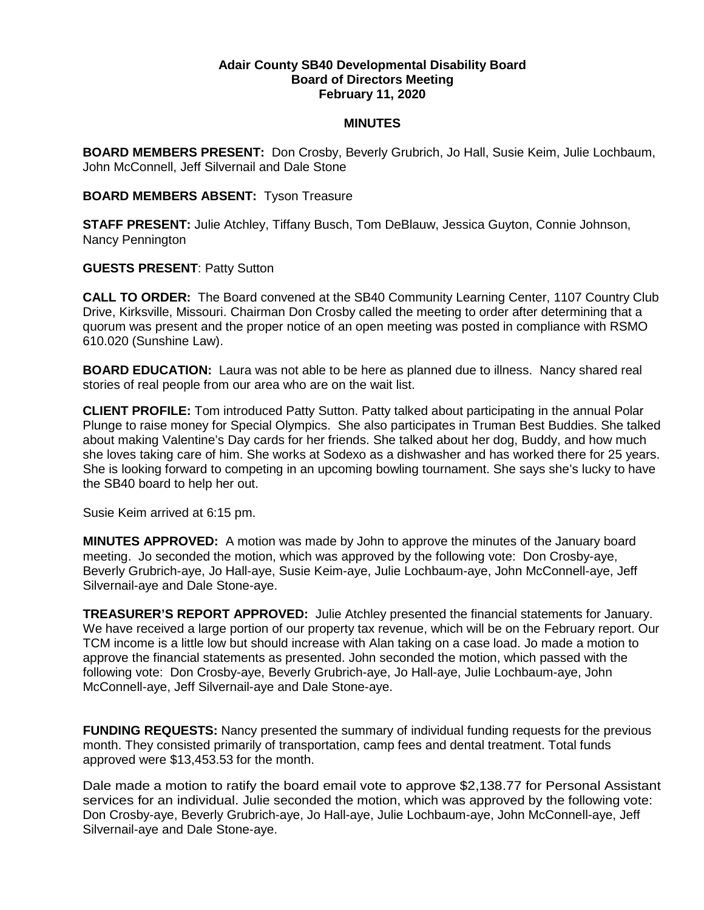## **Adair County SB40 Developmental Disability Board Board of Directors Meeting February 11, 2020**

## **MINUTES**

**BOARD MEMBERS PRESENT:** Don Crosby, Beverly Grubrich, Jo Hall, Susie Keim, Julie Lochbaum, John McConnell, Jeff Silvernail and Dale Stone

## **BOARD MEMBERS ABSENT:** Tyson Treasure

**STAFF PRESENT:** Julie Atchley, Tiffany Busch, Tom DeBlauw, Jessica Guyton, Connie Johnson, Nancy Pennington

## **GUESTS PRESENT**: Patty Sutton

**CALL TO ORDER:** The Board convened at the SB40 Community Learning Center, 1107 Country Club Drive, Kirksville, Missouri. Chairman Don Crosby called the meeting to order after determining that a quorum was present and the proper notice of an open meeting was posted in compliance with RSMO 610.020 (Sunshine Law).

**BOARD EDUCATION:** Laura was not able to be here as planned due to illness. Nancy shared real stories of real people from our area who are on the wait list.

**CLIENT PROFILE:** Tom introduced Patty Sutton. Patty talked about participating in the annual Polar Plunge to raise money for Special Olympics. She also participates in Truman Best Buddies. She talked about making Valentine's Day cards for her friends. She talked about her dog, Buddy, and how much she loves taking care of him. She works at Sodexo as a dishwasher and has worked there for 25 years. She is looking forward to competing in an upcoming bowling tournament. She says she's lucky to have the SB40 board to help her out.

Susie Keim arrived at 6:15 pm.

**MINUTES APPROVED:** A motion was made by John to approve the minutes of the January board meeting. Jo seconded the motion, which was approved by the following vote: Don Crosby-aye, Beverly Grubrich-aye, Jo Hall-aye, Susie Keim-aye, Julie Lochbaum-aye, John McConnell-aye, Jeff Silvernail-aye and Dale Stone-aye.

**TREASURER'S REPORT APPROVED:** Julie Atchley presented the financial statements for January. We have received a large portion of our property tax revenue, which will be on the February report. Our TCM income is a little low but should increase with Alan taking on a case load. Jo made a motion to approve the financial statements as presented. John seconded the motion, which passed with the following vote: Don Crosby-aye, Beverly Grubrich-aye, Jo Hall-aye, Julie Lochbaum-aye, John McConnell-aye, Jeff Silvernail-aye and Dale Stone-aye.

**FUNDING REQUESTS:** Nancy presented the summary of individual funding requests for the previous month. They consisted primarily of transportation, camp fees and dental treatment. Total funds approved were \$13,453.53 for the month.

Dale made a motion to ratify the board email vote to approve \$2,138.77 for Personal Assistant services for an individual. Julie seconded the motion, which was approved by the following vote: Don Crosby-aye, Beverly Grubrich-aye, Jo Hall-aye, Julie Lochbaum-aye, John McConnell-aye, Jeff Silvernail-aye and Dale Stone-aye.